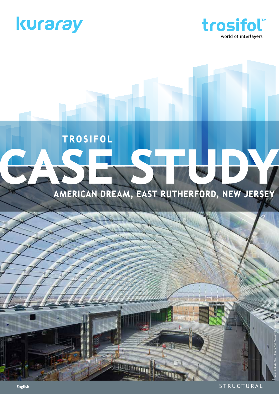



## **TROSIFOL** 515

## American Dream, East Rutherford, New Jersey

STRUCTURAL

Image © Kevin Chu + Jessica Paul Photography. Courtesy of W&W Glass, LLC

 $\blacksquare$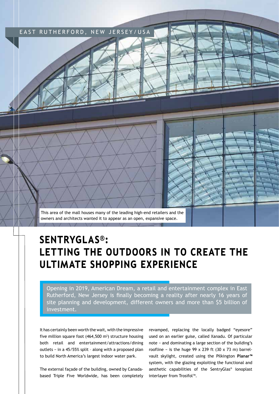

## SentryGlas®: Letting the outdoors in to create the ultimate shopping experience

Opening in 2019, American Dream, a retail and entertainment complex in East Rutherford, New Jersey is finally becoming a reality after nearly 16 years of site planning and development, different owners and more than \$5 billion of investment.

It has certainly been worth the wait, with the impressive five million square foot  $(464,500 \text{ m}^2)$  structure housing both retail and entertainment/attractions/dining outlets − in a 45/55% split – along with a proposed plan to build North America's largest indoor water park.

The external façade of the building, owned by Canadabased Triple Five Worldwide, has been completely revamped, replacing the locally badged "eyesore" used on an earlier guise, called Xanadu. Of particular note − and dominating a large section of the building's roofline – is the huge  $99 \times 239$  ft (30 x 73 m) barrelvault skylight, created using the Pilkington **Planar™**  system, with the glazing exploiting the functional and aesthetic capabilities of the SentryGlas® ionoplast interlayer from Trosifol™.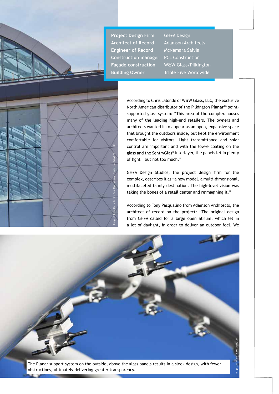



According to Chris Lalonde of W&W Glass, LLC, the exclusive North American distributor of the Pilkington **Planar™** pointsupported glass system: "This area of the complex houses many of the leading high-end retailers. The owners and architects wanted it to appear as an open, expansive space that brought the outdoors inside, but kept the environment comfortable for visitors. Light transmittance and solar control are important and with the low-e coating on the glass and the SentryGlas® interlayer, the panels let in plenty of light… but not too much."

GH+A Design Studios, the project design firm for the complex, describes it as "a new model, a multi-dimensional, multifaceted family destination. The high-level vision was taking the bones of a retail center and reimagining it."

According to Tony Pasqualino from Adamson Architects, the architect of record on the project: "The original design from GH+A called for a large open atrium, which let in a lot of daylight, in order to deliver an outdoor feel. We

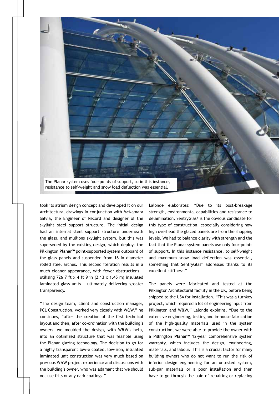

took its atrium design concept and developed it on our Architectural drawings in conjunction with McNamara Salvia, the Engineer of Record and designer of the skylight steel support structure. The initial design had an internal steel support structure underneath the glass, and mullions skylight system, but this was superseded by the existing design, which deploys the Pilkington **Planar™** point-supported system outboard of the glass panels and suspended from 16 in diameter rolled steel arches. This second iteration results in a much cleaner appearance, with fewer obstructions − utilising 726 7 ft  $x$  4 ft 9 in (2.13  $x$  1.45 m) insulated laminated glass units − ultimately delivering greater transparency.

"The design team, client and construction manager, PCL Construction, worked very closely with W&W," he continues, "after the creation of the first technical layout and then, after co-ordination with the building's owners, we moulded the design, with W&W's help, into an optimized structure that was feasible using the Planar glazing technology. The decision to go for a highly transparent low-e coated, low-iron, insulated laminated unit construction was very much based on previous W&W project experience and discussions with the building's owner, who was adamant that we should not use frits or any dark coatings."

Lalonde elaborates: "Due to its post-breakage strength, environmental capabilities and resistance to delamination, SentryGlas® is the obvious candidate for this type of construction, especially considering how high overhead the glazed panels are from the shopping levels. We had to balance clarity with strength and the fact that the Planar system panels use only four-points of support. In this instance resistance, to self-weight and maximum snow load deflection was essential, something that SentryGlas® addresses thanks to its excellent stiffness."

The panels were fabricated and tested at the Pilkington Architectural facility in the UK, before being shipped to the USA for installation. "This was a turnkey project, which required a lot of engineering input from Pilkington and W&W," Lalonde explains. "Due to the extensive engineering, testing and in-house fabrication of the high-quality materials used in the system construction, we were able to provide the owner with a Pilkington **Planar™** 12-year comprehensive system warranty, which includes the design, engineering, materials, and labour. This is a crucial factor for many building owners who do not want to run the risk of inferior design engineering for an untested system, sub-par materials or a poor installation and then have to go through the pain of repairing or replacing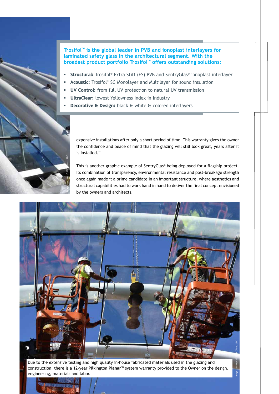**Trosifol™ is the global leader in PVB and ionoplast interlayers for laminated safety glass in the architectural segment. With the broadest product portfolio Trosifol™ offers outstanding solutions:**

- Structural: Trosifol® Extra Stiff (ES) PVB and SentryGlas® ionoplast interlayer
- Acoustic: Trosifol® SC Monolayer and Multilayer for sound insulation
- UV Control: from full UV protection to natural UV transmission
- UltraClear: lowest Yellowness Index in industry
- Decorative & Design: black & white & colored interlayers

expensive installations after only a short period of time. This warranty gives the owner the confidence and peace of mind that the glazing will still look great, years after it is installed."

This is another graphic example of SentryGlas® being deployed for a flagship project. Its combination of transparency, environmental resistance and post-breakage strength once again made it a prime candidate in an important structure, where aesthetics and structural capabilities had to work hand in hand to deliver the final concept envisioned by the owners and architects.



Due to the extensive testing and high quality in-house fabricated materials used in the glazing and construction, there is a 12-year Pilkington **Planar™** system warranty provided to the Owner on the design,

**Pourte**